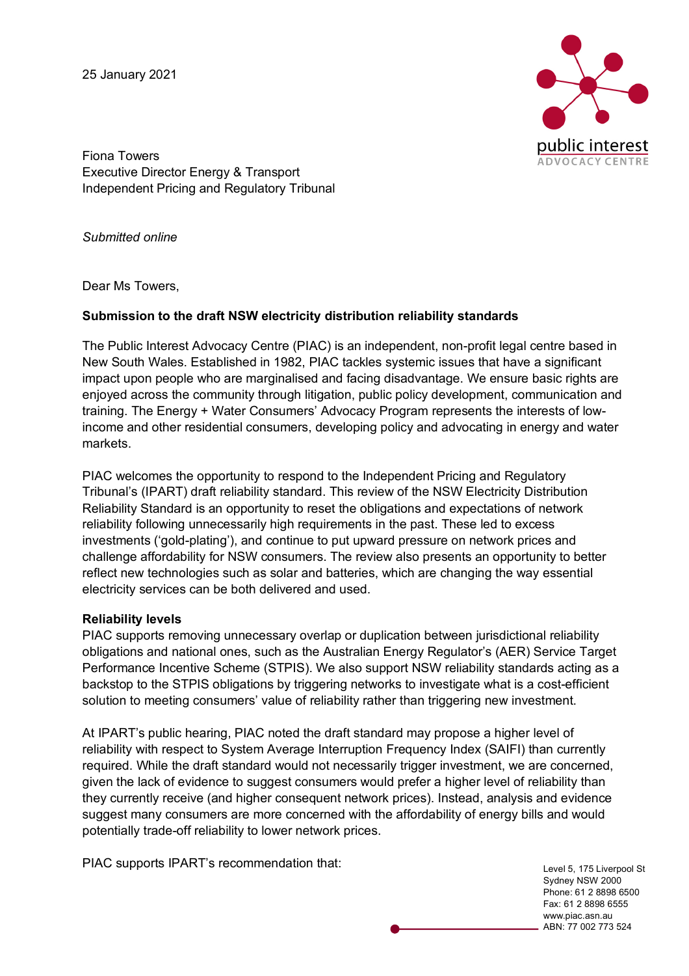25 January 2021



Fiona Towers Executive Director Energy & Transport Independent Pricing and Regulatory Tribunal

*Submitted online*

Dear Ms Towers,

#### **Submission to the draft NSW electricity distribution reliability standards**

The Public Interest Advocacy Centre (PIAC) is an independent, non-profit legal centre based in New South Wales. Established in 1982, PIAC tackles systemic issues that have a significant impact upon people who are marginalised and facing disadvantage. We ensure basic rights are enjoyed across the community through litigation, public policy development, communication and training. The Energy + Water Consumers' Advocacy Program represents the interests of lowincome and other residential consumers, developing policy and advocating in energy and water markets.

PIAC welcomes the opportunity to respond to the Independent Pricing and Regulatory Tribunal's (IPART) draft reliability standard. This review of the NSW Electricity Distribution Reliability Standard is an opportunity to reset the obligations and expectations of network reliability following unnecessarily high requirements in the past. These led to excess investments ('gold-plating'), and continue to put upward pressure on network prices and challenge affordability for NSW consumers. The review also presents an opportunity to better reflect new technologies such as solar and batteries, which are changing the way essential electricity services can be both delivered and used.

#### **Reliability levels**

PIAC supports removing unnecessary overlap or duplication between jurisdictional reliability obligations and national ones, such as the Australian Energy Regulator's (AER) Service Target Performance Incentive Scheme (STPIS). We also support NSW reliability standards acting as a backstop to the STPIS obligations by triggering networks to investigate what is a cost-efficient solution to meeting consumers' value of reliability rather than triggering new investment.

At IPART's public hearing, PIAC noted the draft standard may propose a higher level of reliability with respect to System Average Interruption Frequency Index (SAIFI) than currently required. While the draft standard would not necessarily trigger investment, we are concerned, given the lack of evidence to suggest consumers would prefer a higher level of reliability than they currently receive (and higher consequent network prices). Instead, analysis and evidence suggest many consumers are more concerned with the affordability of energy bills and would potentially trade-off reliability to lower network prices.

PIAC supports IPART's recommendation that:

Level 5, 175 Liverpool St Sydney NSW 2000 Phone: 61 2 8898 6500 Fax: 61 2 8898 6555 www.piac.asn.au ABN: 77 002 773 524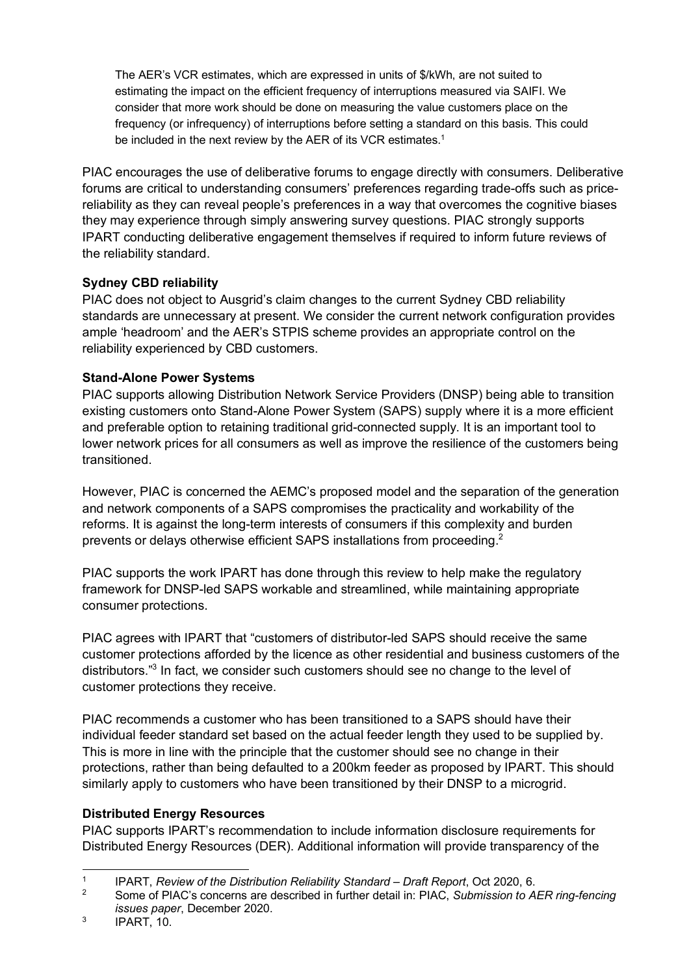The AER's VCR estimates, which are expressed in units of \$/kWh, are not suited to estimating the impact on the efficient frequency of interruptions measured via SAIFI. We consider that more work should be done on measuring the value customers place on the frequency (or infrequency) of interruptions before setting a standard on this basis. This could be included in the next review by the AER of its VCR estimates.<sup>1</sup>

PIAC encourages the use of deliberative forums to engage directly with consumers. Deliberative forums are critical to understanding consumers' preferences regarding trade-offs such as pricereliability as they can reveal people's preferences in a way that overcomes the cognitive biases they may experience through simply answering survey questions. PIAC strongly supports IPART conducting deliberative engagement themselves if required to inform future reviews of the reliability standard.

# **Sydney CBD reliability**

PIAC does not object to Ausgrid's claim changes to the current Sydney CBD reliability standards are unnecessary at present. We consider the current network configuration provides ample 'headroom' and the AER's STPIS scheme provides an appropriate control on the reliability experienced by CBD customers.

## **Stand-Alone Power Systems**

PIAC supports allowing Distribution Network Service Providers (DNSP) being able to transition existing customers onto Stand-Alone Power System (SAPS) supply where it is a more efficient and preferable option to retaining traditional grid-connected supply. It is an important tool to lower network prices for all consumers as well as improve the resilience of the customers being transitioned.

However, PIAC is concerned the AEMC's proposed model and the separation of the generation and network components of a SAPS compromises the practicality and workability of the reforms. It is against the long-term interests of consumers if this complexity and burden prevents or delays otherwise efficient SAPS installations from proceeding.<sup>2</sup>

PIAC supports the work IPART has done through this review to help make the regulatory framework for DNSP-led SAPS workable and streamlined, while maintaining appropriate consumer protections.

PIAC agrees with IPART that "customers of distributor-led SAPS should receive the same customer protections afforded by the licence as other residential and business customers of the distributors."3 In fact, we consider such customers should see no change to the level of customer protections they receive.

PIAC recommends a customer who has been transitioned to a SAPS should have their individual feeder standard set based on the actual feeder length they used to be supplied by. This is more in line with the principle that the customer should see no change in their protections, rather than being defaulted to a 200km feeder as proposed by IPART. This should similarly apply to customers who have been transitioned by their DNSP to a microgrid.

### **Distributed Energy Resources**

PIAC supports IPART's recommendation to include information disclosure requirements for Distributed Energy Resources (DER). Additional information will provide transparency of the

 <sup>1</sup> IPART, *Review of the Distribution Reliability Standard – Draft Report*, Oct 2020, 6.

<sup>2</sup> Some of PIAC's concerns are described in further detail in: PIAC, *Submission to AER ring-fencing issues paper*, December 2020.

 $3$  IPART, 10.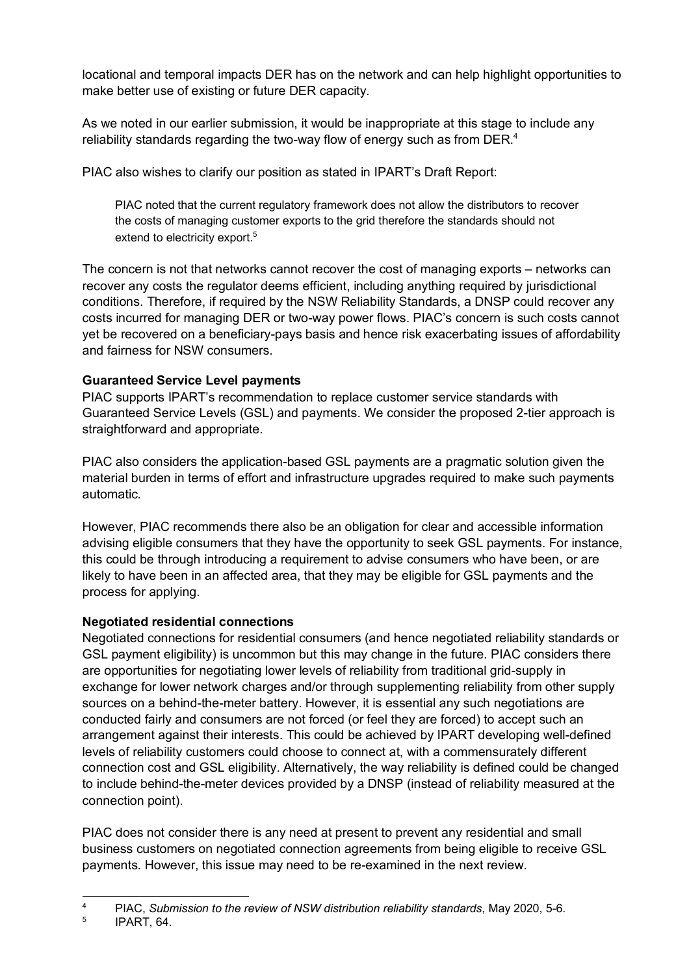locational and temporal impacts DER has on the network and can help highlight opportunities to make better use of existing or future DER capacity.

As we noted in our earlier submission, it would be inappropriate at this stage to include any reliability standards regarding the two-way flow of energy such as from DER.<sup>4</sup>

PIAC also wishes to clarify our position as stated in IPART's Draft Report:

PIAC noted that the current regulatory framework does not allow the distributors to recover the costs of managing customer exports to the grid therefore the standards should not extend to electricity export.<sup>5</sup>

The concern is not that networks cannot recover the cost of managing exports – networks can recover any costs the regulator deems efficient, including anything required by jurisdictional conditions. Therefore, if required by the NSW Reliability Standards, a DNSP could recover any costs incurred for managing DER or two-way power flows. PIAC's concern is such costs cannot yet be recovered on a beneficiary-pays basis and hence risk exacerbating issues of affordability and fairness for NSW consumers.

# **Guaranteed Service Level payments**

PIAC supports IPART's recommendation to replace customer service standards with Guaranteed Service Levels (GSL) and payments. We consider the proposed 2-tier approach is straightforward and appropriate.

PIAC also considers the application-based GSL payments are a pragmatic solution given the material burden in terms of effort and infrastructure upgrades required to make such payments automatic.

However, PIAC recommends there also be an obligation for clear and accessible information advising eligible consumers that they have the opportunity to seek GSL payments. For instance, this could be through introducing a requirement to advise consumers who have been, or are likely to have been in an affected area, that they may be eligible for GSL payments and the process for applying.

### **Negotiated residential connections**

Negotiated connections for residential consumers (and hence negotiated reliability standards or GSL payment eligibility) is uncommon but this may change in the future. PIAC considers there are opportunities for negotiating lower levels of reliability from traditional grid-supply in exchange for lower network charges and/or through supplementing reliability from other supply sources on a behind-the-meter battery. However, it is essential any such negotiations are conducted fairly and consumers are not forced (or feel they are forced) to accept such an arrangement against their interests. This could be achieved by IPART developing well-defined levels of reliability customers could choose to connect at, with a commensurately different connection cost and GSL eligibility. Alternatively, the way reliability is defined could be changed to include behind-the-meter devices provided by a DNSP (instead of reliability measured at the connection point).

PIAC does not consider there is any need at present to prevent any residential and small business customers on negotiated connection agreements from being eligible to receive GSL payments. However, this issue may need to be re-examined in the next review.

 <sup>4</sup> PIAC, *Submission to the review of NSW distribution reliability standards*, May 2020, 5-6.

<sup>5</sup> IPART, 64.